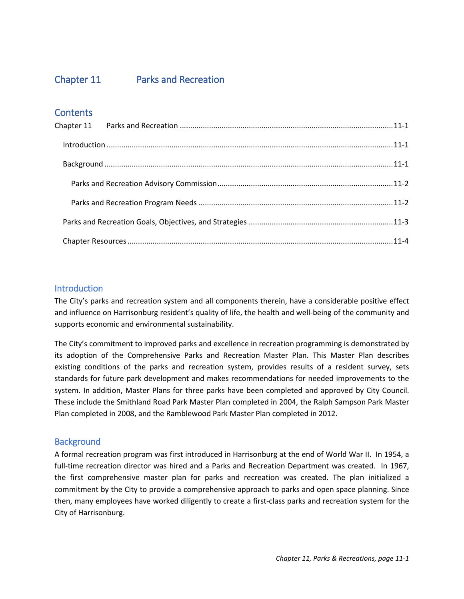# Chapter 11.

# **Parks and Recreation**



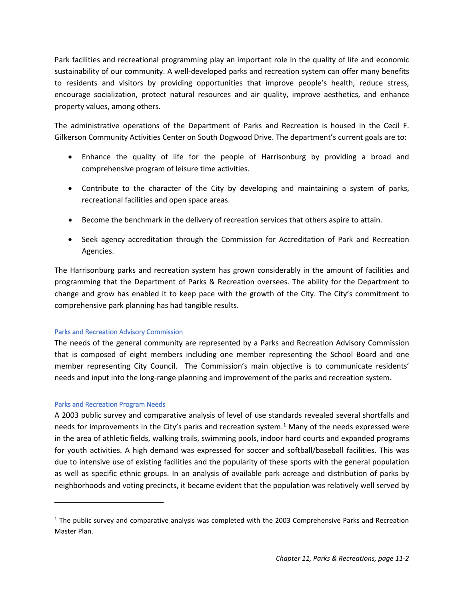## <span id="page-1-0"></span>Chapter 11 Parks and Recreation

### **Contents**

#### <span id="page-1-1"></span>**Introduction**

The City's parks and recreation system and all components therein, have a considerable positive effect and influence on Harrisonburg resident's quality of life, the health and well-being of the community and supports economic and environmental sustainability.

The City's commitment to improved parks and excellence in recreation programming is demonstrated by its adoption of the Comprehensive Parks and Recreation Master Plan. This Master Plan describes existing conditions of the parks and recreation system, provides results of a resident survey, sets standards for future park development and makes recommendations for needed improvements to the system. In addition, Master Plans for three parks have been completed and approved by City Council. These include the Smithland Road Park Master Plan completed in 2004, the Ralph Sampson Park Master Plan completed in 2008, and the Ramblewood Park Master Plan completed in 2012.

#### <span id="page-1-2"></span>**Background**

A formal recreation program was first introduced in Harrisonburg at the end of World War II. In 1954, a full-time recreation director was hired and a Parks and Recreation Department was created. In 1967, the first comprehensive master plan for parks and recreation was created. The plan initialized a commitment by the City to provide a comprehensive approach to parks and open space planning. Since then, many employees have worked diligently to create a first-class parks and recreation system for the City of Harrisonburg.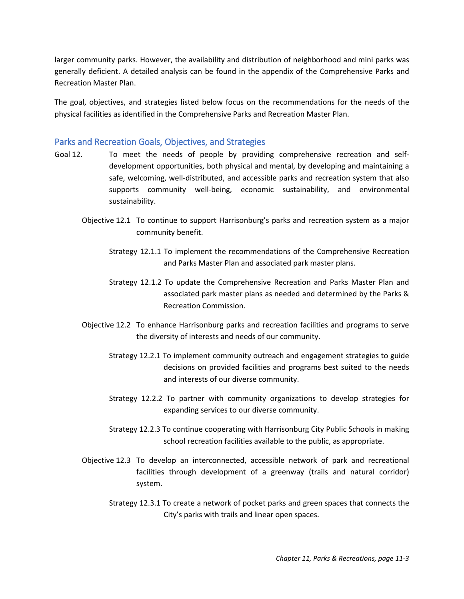Park facilities and recreational programming play an important role in the quality of life and economic sustainability of our community. A well-developed parks and recreation system can offer many benefits to residents and visitors by providing opportunities that improve people's health, reduce stress, encourage socialization, protect natural resources and air quality, improve aesthetics, and enhance property values, among others.

The administrative operations of the Department of Parks and Recreation is housed in the Cecil F. Gilkerson Community Activities Center on South Dogwood Drive. The department's current goals are to:

- Enhance the quality of life for the people of Harrisonburg by providing a broad and comprehensive program of leisure time activities.
- Contribute to the character of the City by developing and maintaining a system of parks, recreational facilities and open space areas.
- Become the benchmark in the delivery of recreation services that others aspire to attain.
- Seek agency accreditation through the Commission for Accreditation of Park and Recreation Agencies.

The Harrisonburg parks and recreation system has grown considerably in the amount of facilities and programming that the Department of Parks & Recreation oversees. The ability for the Department to change and grow has enabled it to keep pace with the growth of the City. The City's commitment to comprehensive park planning has had tangible results.

#### <span id="page-2-0"></span>Parks and Recreation Advisory Commission

The needs of the general community are represented by a Parks and Recreation Advisory Commission that is composed of eight members including one member representing the School Board and one member representing City Council. The Commission's main objective is to communicate residents' needs and input into the long-range planning and improvement of the parks and recreation system.

#### <span id="page-2-1"></span>Parks and Recreation Program Needs

l

A 2003 public survey and comparative analysis of level of use standards revealed several shortfalls and needs for improvements in the City's parks and recreation system.<sup>[1](#page-2-2)</sup> Many of the needs expressed were in the area of athletic fields, walking trails, swimming pools, indoor hard courts and expanded programs for youth activities. A high demand was expressed for soccer and softball/baseball facilities. This was due to intensive use of existing facilities and the popularity of these sports with the general population as well as specific ethnic groups. In an analysis of available park acreage and distribution of parks by neighborhoods and voting precincts, it became evident that the population was relatively well served by

<span id="page-2-2"></span><sup>&</sup>lt;sup>1</sup> The public survey and comparative analysis was completed with the 2003 Comprehensive Parks and Recreation Master Plan.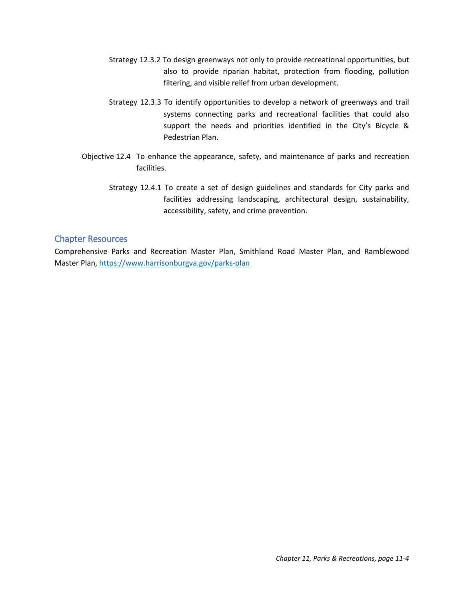larger community parks. However, the availability and distribution of neighborhood and mini parks was generally deficient. A detailed analysis can be found in the appendix of the Comprehensive Parks and Recreation Master Plan.

The goal, objectives, and strategies listed below focus on the recommendations for the needs of the physical facilities as identified in the Comprehensive Parks and Recreation Master Plan.

#### <span id="page-3-0"></span>Parks and Recreation Goals, Objectives, and Strategies

- Goal 12. To meet the needs of people by providing comprehensive recreation and selfdevelopment opportunities, both physical and mental, by developing and maintaining a safe, welcoming, well-distributed, and accessible parks and recreation system that also supports community well-being, economic sustainability, and environmental sustainability.
	- Objective 12.1 To continue to support Harrisonburg's parks and recreation system as a major community benefit.
		- Strategy 12.1.1 To implement the recommendations of the Comprehensive Recreation and Parks Master Plan and associated park master plans.
		- Strategy 12.1.2 To update the Comprehensive Recreation and Parks Master Plan and associated park master plans as needed and determined by the Parks & Recreation Commission.
	- Objective 12.2 To enhance Harrisonburg parks and recreation facilities and programs to serve the diversity of interests and needs of our community.
		- Strategy 12.2.1 To implement community outreach and engagement strategies to guide decisions on provided facilities and programs best suited to the needs and interests of our diverse community.
		- Strategy 12.2.2 To partner with community organizations to develop strategies for expanding services to our diverse community.
		- Strategy 12.2.3 To continue cooperating with Harrisonburg City Public Schools in making school recreation facilities available to the public, as appropriate.
	- Objective 12.3 To develop an interconnected, accessible network of park and recreational facilities through development of a greenway (trails and natural corridor) system.
		- Strategy 12.3.1 To create a network of pocket parks and green spaces that connects the City's parks with trails and linear open spaces.